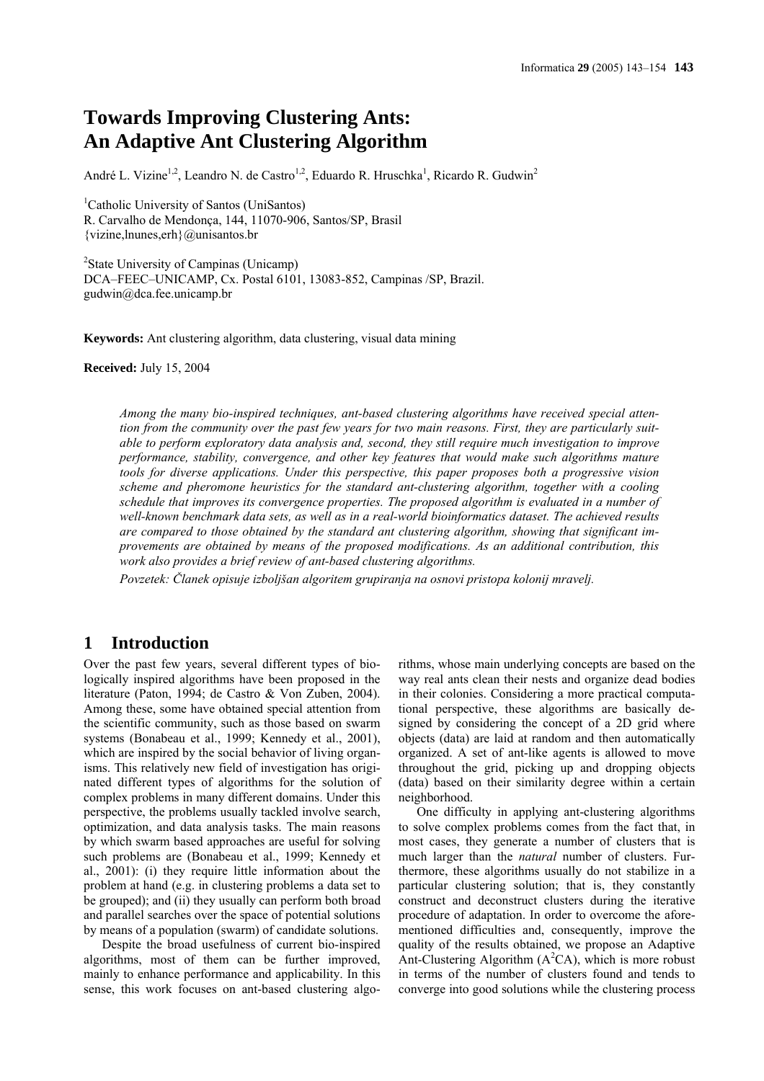# **Towards Improving Clustering Ants: An Adaptive Ant Clustering Algorithm**

André L. Vizine<sup>1,2</sup>, Leandro N. de Castro<sup>1,2</sup>, Eduardo R. Hruschka<sup>1</sup>, Ricardo R. Gudwin<sup>2</sup>

<sup>1</sup>Catholic University of Santos (UniSantos) R. Carvalho de Mendonça, 144, 11070-906, Santos/SP, Brasil {vizine,lnunes,erh}@unisantos.br

<sup>2</sup>State University of Campinas (Unicamp) DCA–FEEC–UNICAMP, Cx. Postal 6101, 13083-852, Campinas /SP, Brazil. gudwin@dca.fee.unicamp.br

**Keywords:** Ant clustering algorithm, data clustering, visual data mining

**Received:** July 15, 2004

*Among the many bio-inspired techniques, ant-based clustering algorithms have received special attention from the community over the past few years for two main reasons. First, they are particularly suitable to perform exploratory data analysis and, second, they still require much investigation to improve performance, stability, convergence, and other key features that would make such algorithms mature tools for diverse applications. Under this perspective, this paper proposes both a progressive vision scheme and pheromone heuristics for the standard ant-clustering algorithm, together with a cooling schedule that improves its convergence properties. The proposed algorithm is evaluated in a number of well-known benchmark data sets, as well as in a real-world bioinformatics dataset. The achieved results are compared to those obtained by the standard ant clustering algorithm, showing that significant improvements are obtained by means of the proposed modifications. As an additional contribution, this work also provides a brief review of ant-based clustering algorithms.* 

*Povzetek: Članek opisuje izboljšan algoritem grupiranja na osnovi pristopa kolonij mravelj.* 

### **1 Introduction**

Over the past few years, several different types of biologically inspired algorithms have been proposed in the literature (Paton, 1994; de Castro & Von Zuben, 2004). Among these, some have obtained special attention from the scientific community, such as those based on swarm systems (Bonabeau et al., 1999; Kennedy et al., 2001), which are inspired by the social behavior of living organisms. This relatively new field of investigation has originated different types of algorithms for the solution of complex problems in many different domains. Under this perspective, the problems usually tackled involve search, optimization, and data analysis tasks. The main reasons by which swarm based approaches are useful for solving such problems are (Bonabeau et al., 1999; Kennedy et al., 2001): (i) they require little information about the problem at hand (e.g. in clustering problems a data set to be grouped); and (ii) they usually can perform both broad and parallel searches over the space of potential solutions by means of a population (swarm) of candidate solutions.

Despite the broad usefulness of current bio-inspired algorithms, most of them can be further improved, mainly to enhance performance and applicability. In this sense, this work focuses on ant-based clustering algorithms, whose main underlying concepts are based on the way real ants clean their nests and organize dead bodies in their colonies. Considering a more practical computational perspective, these algorithms are basically designed by considering the concept of a 2D grid where objects (data) are laid at random and then automatically organized. A set of ant-like agents is allowed to move throughout the grid, picking up and dropping objects (data) based on their similarity degree within a certain neighborhood.

One difficulty in applying ant-clustering algorithms to solve complex problems comes from the fact that, in most cases, they generate a number of clusters that is much larger than the *natural* number of clusters. Furthermore, these algorithms usually do not stabilize in a particular clustering solution; that is, they constantly construct and deconstruct clusters during the iterative procedure of adaptation. In order to overcome the aforementioned difficulties and, consequently, improve the quality of the results obtained, we propose an Adaptive Ant-Clustering Algorithm  $(A<sup>2</sup>CA)$ , which is more robust in terms of the number of clusters found and tends to converge into good solutions while the clustering process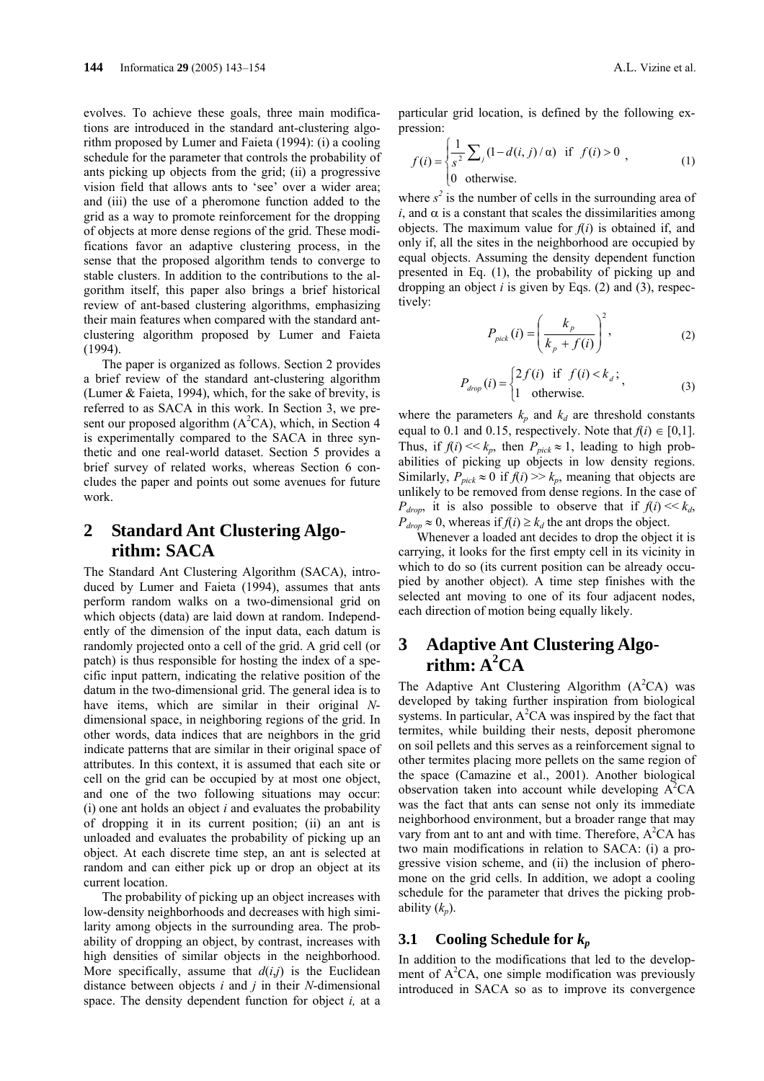evolves. To achieve these goals, three main modifications are introduced in the standard ant-clustering algorithm proposed by Lumer and Faieta (1994): (i) a cooling schedule for the parameter that controls the probability of ants picking up objects from the grid; (ii) a progressive vision field that allows ants to 'see' over a wider area; and (iii) the use of a pheromone function added to the grid as a way to promote reinforcement for the dropping of objects at more dense regions of the grid. These modifications favor an adaptive clustering process, in the sense that the proposed algorithm tends to converge to stable clusters. In addition to the contributions to the algorithm itself, this paper also brings a brief historical review of ant-based clustering algorithms, emphasizing their main features when compared with the standard antclustering algorithm proposed by Lumer and Faieta (1994).

The paper is organized as follows. Section 2 provides a brief review of the standard ant-clustering algorithm (Lumer & Faieta, 1994), which, for the sake of brevity, is referred to as SACA in this work. In Section 3, we present our proposed algorithm  $(A<sup>2</sup>CA)$ , which, in Section 4 is experimentally compared to the SACA in three synthetic and one real-world dataset. Section 5 provides a brief survey of related works, whereas Section 6 concludes the paper and points out some avenues for future work.

# **2 Standard Ant Clustering Algorithm: SACA**

The Standard Ant Clustering Algorithm (SACA), introduced by Lumer and Faieta (1994), assumes that ants perform random walks on a two-dimensional grid on which objects (data) are laid down at random. Independently of the dimension of the input data, each datum is randomly projected onto a cell of the grid. A grid cell (or patch) is thus responsible for hosting the index of a specific input pattern, indicating the relative position of the datum in the two-dimensional grid. The general idea is to have items, which are similar in their original *N*dimensional space, in neighboring regions of the grid. In other words, data indices that are neighbors in the grid indicate patterns that are similar in their original space of attributes. In this context, it is assumed that each site or cell on the grid can be occupied by at most one object, and one of the two following situations may occur: (i) one ant holds an object *i* and evaluates the probability of dropping it in its current position; (ii) an ant is unloaded and evaluates the probability of picking up an object. At each discrete time step, an ant is selected at random and can either pick up or drop an object at its current location.

The probability of picking up an object increases with low-density neighborhoods and decreases with high similarity among objects in the surrounding area. The probability of dropping an object, by contrast, increases with high densities of similar objects in the neighborhood. More specifically, assume that  $d(i,j)$  is the Euclidean distance between objects *i* and *j* in their *N*-dimensional space. The density dependent function for object *i,* at a

particular grid location, is defined by the following expression:

$$
f(i) = \begin{cases} \frac{1}{s^2} \sum_j (1 - d(i, j) / \alpha) & \text{if } f(i) > 0 \\ 0 & \text{otherwise.} \end{cases}
$$
 (1)

where  $s^2$  is the number of cells in the surrounding area of  $i$ , and  $\alpha$  is a constant that scales the dissimilarities among objects. The maximum value for  $f(i)$  is obtained if, and only if, all the sites in the neighborhood are occupied by equal objects. Assuming the density dependent function presented in Eq. (1), the probability of picking up and dropping an object *i* is given by Eqs. (2) and (3), respectively:  $\sqrt{2}$ 

$$
P_{pick}(i) = \left(\frac{k_p}{k_p + f(i)}\right)^2, \tag{2}
$$

$$
P_{drop}(i) = \begin{cases} 2f(i) & \text{if } f(i) < k_d; \\ 1 & \text{otherwise.} \end{cases}
$$
\n
$$
(3)
$$

where the parameters  $k_p$  and  $k_d$  are threshold constants equal to 0.1 and 0.15, respectively. Note that  $f(i) \in [0,1]$ . Thus, if  $f(i) \ll k_p$ , then  $P_{pick} \approx 1$ , leading to high probabilities of picking up objects in low density regions. Similarly,  $P_{pick} \approx 0$  if  $f(i) \gg k_p$ , meaning that objects are unlikely to be removed from dense regions. In the case of  $P_{drop}$ , it is also possible to observe that if  $f(i) \ll k_d$ ,  $P_{drop} \approx 0$ , whereas if  $f(i) \ge k_d$  the ant drops the object.

Whenever a loaded ant decides to drop the object it is carrying, it looks for the first empty cell in its vicinity in which to do so (its current position can be already occupied by another object). A time step finishes with the selected ant moving to one of its four adjacent nodes, each direction of motion being equally likely.

# **3 Adaptive Ant Clustering Algo-** $\text{rithm: } A^2CA$

The Adaptive Ant Clustering Algorithm  $(A<sup>2</sup>CA)$  was developed by taking further inspiration from biological systems. In particular,  $A^2CA$  was inspired by the fact that termites, while building their nests, deposit pheromone on soil pellets and this serves as a reinforcement signal to other termites placing more pellets on the same region of the space (Camazine et al., 2001). Another biological observation taken into account while developing  $A^2CA$ was the fact that ants can sense not only its immediate neighborhood environment, but a broader range that may vary from ant to ant and with time. Therefore,  $A^2CA$  has two main modifications in relation to SACA: (i) a progressive vision scheme, and (ii) the inclusion of pheromone on the grid cells. In addition, we adopt a cooling schedule for the parameter that drives the picking probability  $(k_n)$ .

### **3.1 Cooling Schedule for** *kp*

In addition to the modifications that led to the development of  $A<sup>2</sup>CA$ , one simple modification was previously introduced in SACA so as to improve its convergence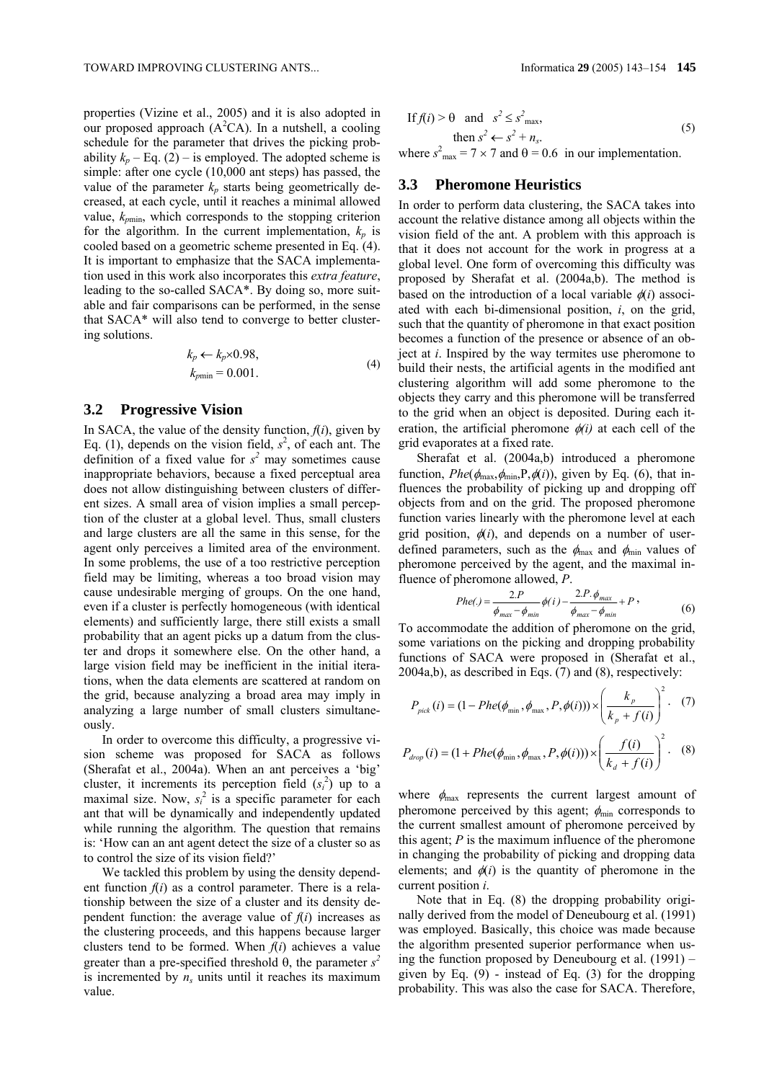properties (Vizine et al., 2005) and it is also adopted in our proposed approach  $(A^2CA)$ . In a nutshell, a cooling schedule for the parameter that drives the picking probability  $k_p - Eq. (2) -$  is employed. The adopted scheme is simple: after one cycle (10,000 ant steps) has passed, the value of the parameter  $k_p$  starts being geometrically decreased, at each cycle, until it reaches a minimal allowed value,  $k_{pmin}$ , which corresponds to the stopping criterion for the algorithm. In the current implementation,  $k_p$  is cooled based on a geometric scheme presented in Eq. (4). It is important to emphasize that the SACA implementation used in this work also incorporates this *extra feature*, leading to the so-called SACA\*. By doing so, more suitable and fair comparisons can be performed, in the sense that SACA\* will also tend to converge to better clustering solutions.

$$
k_p \leftarrow k_p \times 0.98,
$$
  
\n
$$
k_{pmin} = 0.001.
$$
 (4)

#### **3.2 Progressive Vision**

In SACA, the value of the density function,  $f(i)$ , given by Eq. (1), depends on the vision field,  $s^2$ , of each ant. The definition of a fixed value for  $s^2$  may sometimes cause inappropriate behaviors, because a fixed perceptual area does not allow distinguishing between clusters of different sizes. A small area of vision implies a small perception of the cluster at a global level. Thus, small clusters and large clusters are all the same in this sense, for the agent only perceives a limited area of the environment. In some problems, the use of a too restrictive perception field may be limiting, whereas a too broad vision may cause undesirable merging of groups. On the one hand, even if a cluster is perfectly homogeneous (with identical elements) and sufficiently large, there still exists a small probability that an agent picks up a datum from the cluster and drops it somewhere else. On the other hand, a large vision field may be inefficient in the initial iterations, when the data elements are scattered at random on the grid, because analyzing a broad area may imply in analyzing a large number of small clusters simultaneously.

In order to overcome this difficulty, a progressive vision scheme was proposed for SACA as follows (Sherafat et al., 2004a). When an ant perceives a 'big' cluster, it increments its perception field  $(s<sub>i</sub><sup>2</sup>)$  up to a maximal size. Now,  $s_i^2$  is a specific parameter for each ant that will be dynamically and independently updated while running the algorithm. The question that remains is: 'How can an ant agent detect the size of a cluster so as to control the size of its vision field?'

We tackled this problem by using the density dependent function  $f(i)$  as a control parameter. There is a relationship between the size of a cluster and its density dependent function: the average value of  $f(i)$  increases as the clustering proceeds, and this happens because larger clusters tend to be formed. When  $f(i)$  achieves a value greater than a pre-specified threshold  $\theta$ , the parameter  $s^2$ is incremented by  $n<sub>s</sub>$  units until it reaches its maximum value.

If 
$$
f(i) > \theta
$$
 and  $s^2 \le s^2_{\text{max}}$ ,  
then  $s^2 \leftarrow s^2 + n_s$ . (5)

where  $s^2_{\text{max}} = 7 \times 7$  and  $\theta = 0.6$  in our implementation.

#### **3.3 Pheromone Heuristics**

In order to perform data clustering, the SACA takes into account the relative distance among all objects within the vision field of the ant. A problem with this approach is that it does not account for the work in progress at a global level. One form of overcoming this difficulty was proposed by Sherafat et al. (2004a,b). The method is based on the introduction of a local variable  $\phi(i)$  associated with each bi-dimensional position, *i*, on the grid, such that the quantity of pheromone in that exact position becomes a function of the presence or absence of an object at *i*. Inspired by the way termites use pheromone to build their nests, the artificial agents in the modified ant clustering algorithm will add some pheromone to the objects they carry and this pheromone will be transferred to the grid when an object is deposited. During each iteration, the artificial pheromone  $\phi(i)$  at each cell of the grid evaporates at a fixed rate.

Sherafat et al. (2004a,b) introduced a pheromone function,  $Phe(\phi_{\text{max}}, \phi_{\text{min}}, P, \phi(i))$ , given by Eq. (6), that influences the probability of picking up and dropping off objects from and on the grid. The proposed pheromone function varies linearly with the pheromone level at each grid position,  $\phi(i)$ , and depends on a number of userdefined parameters, such as the  $\phi_{\text{max}}$  and  $\phi_{\text{min}}$  values of pheromone perceived by the agent, and the maximal influence of pheromone allowed, *P*.

$$
Phe(.) = \frac{2.P}{\phi_{max} - \phi_{min}} \phi(i) - \frac{2.P.\phi_{max}}{\phi_{max} - \phi_{min}} + P,
$$
\n(6)

To accommodate the addition of pheromone on the grid, some variations on the picking and dropping probability functions of SACA were proposed in (Sherafat et al., 2004a,b), as described in Eqs. (7) and (8), respectively:

$$
P_{pick}(i) = (1 - Phe(\phi_{\min}, \phi_{\max}, P, \phi(i))) \times \left(\frac{k_p}{k_p + f(i)}\right)^2. \quad (7)
$$

$$
P_{drop}(i) = (1 + Phe(\phi_{min}, \phi_{max}, P, \phi(i))) \times \left(\frac{f(i)}{k_d + f(i)}\right)^2.
$$
 (8)

where  $\phi_{\text{max}}$  represents the current largest amount of pheromone perceived by this agent;  $\phi_{\min}$  corresponds to the current smallest amount of pheromone perceived by this agent; *P* is the maximum influence of the pheromone in changing the probability of picking and dropping data elements; and  $\phi(i)$  is the quantity of pheromone in the current position *i*.

Note that in Eq. (8) the dropping probability originally derived from the model of Deneubourg et al. (1991) was employed. Basically, this choice was made because the algorithm presented superior performance when using the function proposed by Deneubourg et al. (1991) – given by Eq. (9) - instead of Eq. (3) for the dropping probability. This was also the case for SACA. Therefore,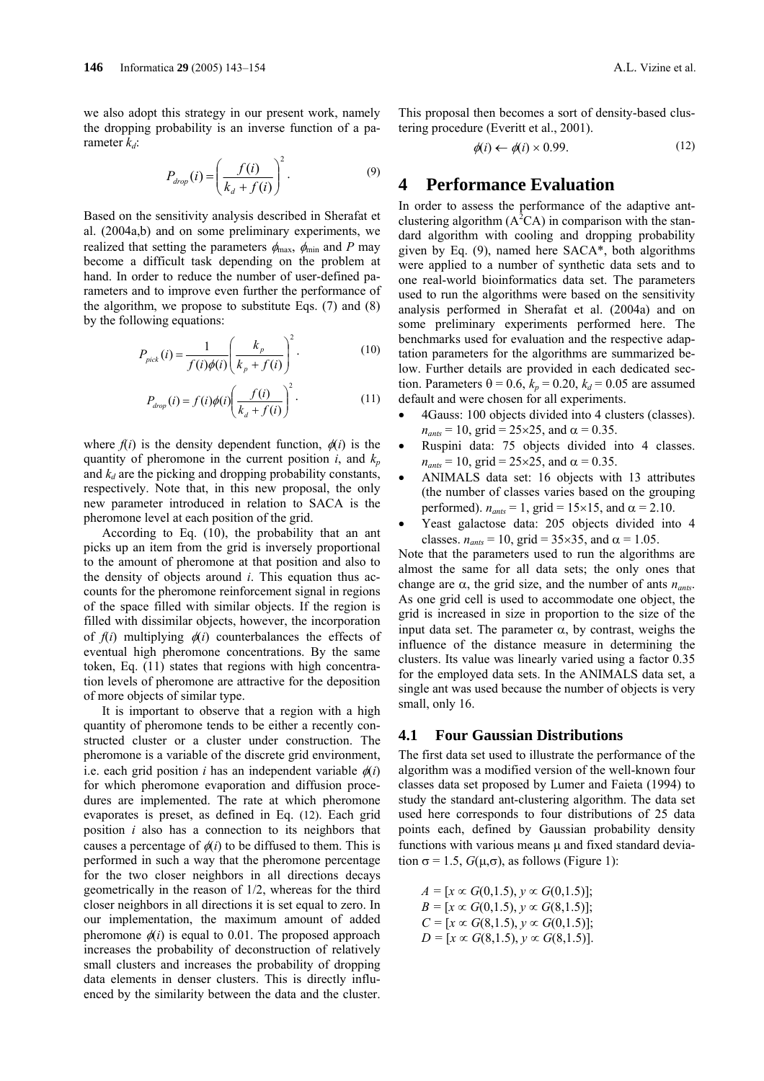we also adopt this strategy in our present work, namely the dropping probability is an inverse function of a parameter  $k_d$ :

$$
P_{drop}(i) = \left(\frac{f(i)}{k_d + f(i)}\right)^2.
$$
\n(9)

Based on the sensitivity analysis described in Sherafat et al. (2004a,b) and on some preliminary experiments, we realized that setting the parameters  $\phi_{\text{max}}$ ,  $\phi_{\text{min}}$  and *P* may become a difficult task depending on the problem at hand. In order to reduce the number of user-defined parameters and to improve even further the performance of the algorithm, we propose to substitute Eqs. (7) and (8) by the following equations:

$$
P_{pick}(i) = \frac{1}{f(i)\phi(i)} \left(\frac{k_p}{k_p + f(i)}\right)^2.
$$
 (10)

$$
P_{drop}(i) = f(i)\phi(i)\left(\frac{f(i)}{k_d + f(i)}\right)^2.
$$
 (11)

where  $f(i)$  is the density dependent function,  $\phi(i)$  is the quantity of pheromone in the current position  $i$ , and  $k_p$ and  $k_d$  are the picking and dropping probability constants, respectively. Note that, in this new proposal, the only new parameter introduced in relation to SACA is the pheromone level at each position of the grid.

According to Eq. (10), the probability that an ant picks up an item from the grid is inversely proportional to the amount of pheromone at that position and also to the density of objects around *i*. This equation thus accounts for the pheromone reinforcement signal in regions of the space filled with similar objects. If the region is filled with dissimilar objects, however, the incorporation of  $f(i)$  multiplying  $\phi(i)$  counterbalances the effects of eventual high pheromone concentrations. By the same token, Eq. (11) states that regions with high concentration levels of pheromone are attractive for the deposition of more objects of similar type.

It is important to observe that a region with a high quantity of pheromone tends to be either a recently constructed cluster or a cluster under construction. The pheromone is a variable of the discrete grid environment, i.e. each grid position *i* has an independent variable  $\phi(i)$ for which pheromone evaporation and diffusion procedures are implemented. The rate at which pheromone evaporates is preset, as defined in Eq. (12). Each grid position *i* also has a connection to its neighbors that causes a percentage of  $\phi(i)$  to be diffused to them. This is performed in such a way that the pheromone percentage for the two closer neighbors in all directions decays geometrically in the reason of 1/2, whereas for the third closer neighbors in all directions it is set equal to zero. In our implementation, the maximum amount of added pheromone  $\phi(i)$  is equal to 0.01. The proposed approach increases the probability of deconstruction of relatively small clusters and increases the probability of dropping data elements in denser clusters. This is directly influenced by the similarity between the data and the cluster.

This proposal then becomes a sort of density-based clustering procedure (Everitt et al., 2001).

$$
\phi(i) \leftarrow \phi(i) \times 0.99. \tag{12}
$$

### **4 Performance Evaluation**

In order to assess the performance of the adaptive antclustering algorithm  $(A<sup>2</sup>CA)$  in comparison with the standard algorithm with cooling and dropping probability given by Eq. (9), named here SACA\*, both algorithms were applied to a number of synthetic data sets and to one real-world bioinformatics data set. The parameters used to run the algorithms were based on the sensitivity analysis performed in Sherafat et al. (2004a) and on some preliminary experiments performed here. The benchmarks used for evaluation and the respective adaptation parameters for the algorithms are summarized below. Further details are provided in each dedicated section. Parameters  $\theta = 0.6$ ,  $k_p = 0.20$ ,  $k_d = 0.05$  are assumed default and were chosen for all experiments.

- 4Gauss: 100 objects divided into 4 clusters (classes).  $n_{ants} = 10$ , grid = 25×25, and  $\alpha = 0.35$ .
- Ruspini data: 75 objects divided into 4 classes.  $n_{ants} = 10$ , grid = 25×25, and  $\alpha = 0.35$ .
- ANIMALS data set: 16 objects with 13 attributes (the number of classes varies based on the grouping performed).  $n_{ants} = 1$ , grid = 15×15, and  $\alpha = 2.10$ .
- Yeast galactose data: 205 objects divided into 4 classes.  $n_{ants} = 10$ , grid = 35×35, and  $\alpha = 1.05$ .

Note that the parameters used to run the algorithms are almost the same for all data sets; the only ones that change are  $\alpha$ , the grid size, and the number of ants  $n_{ants}$ . As one grid cell is used to accommodate one object, the grid is increased in size in proportion to the size of the input data set. The parameter α, by contrast, weighs the influence of the distance measure in determining the clusters. Its value was linearly varied using a factor 0.35 for the employed data sets. In the ANIMALS data set, a single ant was used because the number of objects is very small, only 16.

#### **4.1 Four Gaussian Distributions**

The first data set used to illustrate the performance of the algorithm was a modified version of the well-known four classes data set proposed by Lumer and Faieta (1994) to study the standard ant-clustering algorithm. The data set used here corresponds to four distributions of 25 data points each, defined by Gaussian probability density functions with various means  $\mu$  and fixed standard deviation  $\sigma$  = 1.5,  $G(\mu,\sigma)$ , as follows (Figure 1):

$$
A = [x \propto G(0,1.5), y \propto G(0,1.5)];
$$
  
\n
$$
B = [x \propto G(0,1.5), y \propto G(8,1.5)];
$$
  
\n
$$
C = [x \propto G(8,1.5), y \propto G(0,1.5)];
$$
  
\n
$$
D = [x \propto G(8,1.5), y \propto G(8,1.5)].
$$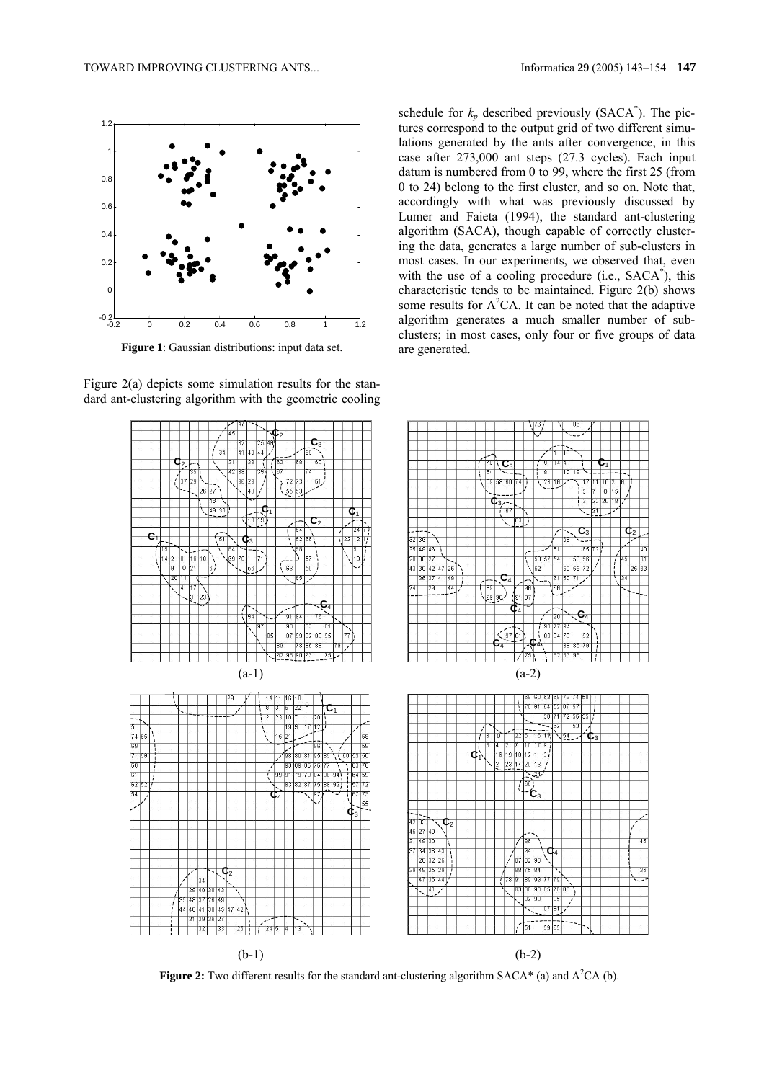

**Figure 1**: Gaussian distributions: input data set.

Figure 2(a) depicts some simulation results for the standard ant-clustering algorithm with the geometric cooling

schedule for  $k_p$  described previously (SACA<sup>\*</sup>). The pictures correspond to the output grid of two different simulations generated by the ants after convergence, in this case after 273,000 ant steps (27.3 cycles). Each input datum is numbered from 0 to 99, where the first 25 (from 0 to 24) belong to the first cluster, and so on. Note that, accordingly with what was previously discussed by Lumer and Faieta (1994), the standard ant-clustering algorithm (SACA), though capable of correctly clustering the data, generates a large number of sub-clusters in most cases. In our experiments, we observed that, even with the use of a cooling procedure (i.e., SACA<sup>\*</sup>), this characteristic tends to be maintained. Figure 2(b) shows some results for  $A<sup>2</sup>CA$ . It can be noted that the adaptive algorithm generates a much smaller number of subclusters; in most cases, only four or five groups of data are generated.



**Figure 2:** Two different results for the standard ant-clustering algorithm  $SACA^*$  (a) and  $A^2CA$  (b).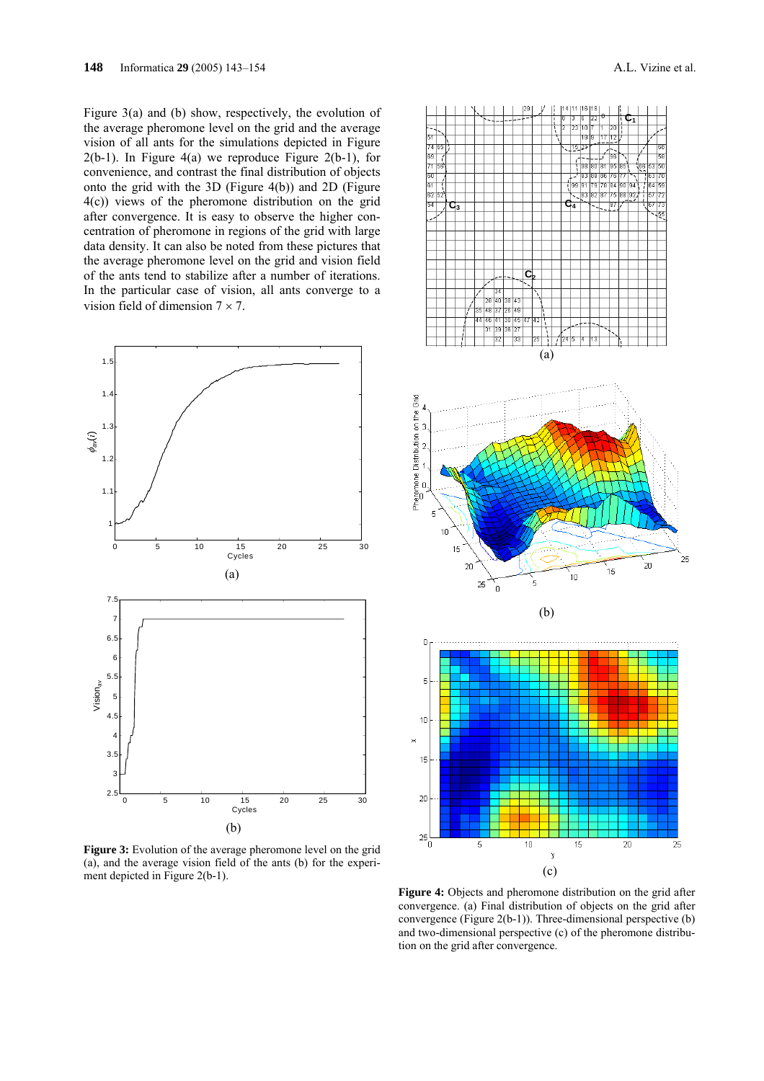Figure 3(a) and (b) show, respectively, the evolution of the average pheromone level on the grid and the average vision of all ants for the simulations depicted in Figure  $2(b-1)$ . In Figure  $4(a)$  we reproduce Figure  $2(b-1)$ , for convenience, and contrast the final distribution of objects onto the grid with the 3D (Figure 4(b)) and 2D (Figure 4(c)) views of the pheromone distribution on the grid after convergence. It is easy to observe the higher concentration of pheromone in regions of the grid with large data density. It can also be noted from these pictures that the average pheromone level on the grid and vision field of the ants tend to stabilize after a number of iterations. In the particular case of vision, all ants converge to a vision field of dimension  $7 \times 7$ .



**Figure 3:** Evolution of the average pheromone level on the grid (a), and the average vision field of the ants (b) for the experiment depicted in Figure 2(b-1).



**Figure 4:** Objects and pheromone distribution on the grid after convergence. (a) Final distribution of objects on the grid after convergence (Figure 2(b-1)). Three-dimensional perspective (b) and two-dimensional perspective (c) of the pheromone distribution on the grid after convergence.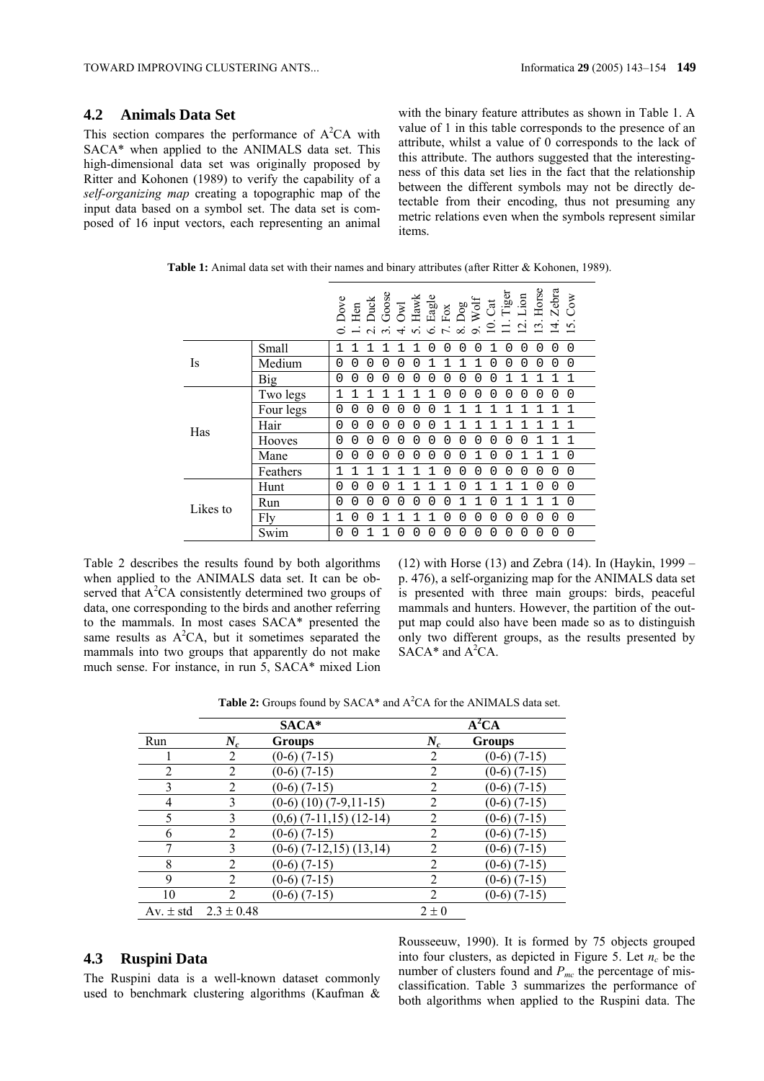#### **4.2 Animals Data Set**

This section compares the performance of  $A<sup>2</sup>CA$  with SACA\* when applied to the ANIMALS data set. This high-dimensional data set was originally proposed by Ritter and Kohonen (1989) to verify the capability of a *self-organizing map* creating a topographic map of the input data based on a symbol set. The data set is composed of 16 input vectors, each representing an animal

with the binary feature attributes as shown in Table 1. A value of 1 in this table corresponds to the presence of an attribute, whilst a value of 0 corresponds to the lack of this attribute. The authors suggested that the interestingness of this data set lies in the fact that the relationship between the different symbols may not be directly detectable from their encoding, thus not presuming any metric relations even when the symbols represent similar items.

|          |            |   |              |   |     |   |   |   |   |                  |              |   | 0. Dove<br>1. Hen<br>2. Duck<br>3. Goose<br>4. Owl<br>6. Eagle<br>8. Dog<br>9. Wolf<br>10. Cat<br>11. Tiger<br>11. Tiger<br>11. Tiger<br>11. Horse |   |          |   | $_{\rm{Cow}}$<br>ം: |  |
|----------|------------|---|--------------|---|-----|---|---|---|---|------------------|--------------|---|----------------------------------------------------------------------------------------------------------------------------------------------------|---|----------|---|---------------------|--|
| Is       | Small      |   |              |   |     |   |   |   | 0 | 0                |              |   | 0                                                                                                                                                  | 0 | 0        | 0 | 0                   |  |
|          | Medium     | 0 | ∩            | Ⴖ | U   | U | U |   |   |                  |              | Λ | N                                                                                                                                                  | 0 | 0        | N | $\Omega$            |  |
|          | <b>Big</b> | 0 | 0            |   |     |   |   |   | 0 |                  | 0            |   |                                                                                                                                                    |   |          |   | 1                   |  |
| Has      | Two legs   |   |              |   |     |   |   |   | 0 | $\left( \right)$ | <sup>0</sup> | 0 | $\left( \right)$                                                                                                                                   | 0 | 0        | O | $\Omega$            |  |
|          | Four legs  | 0 | U            | Ⴖ | ( ) | Ω | 0 |   |   |                  |              |   |                                                                                                                                                    |   |          |   | 1                   |  |
|          | Hair       | 0 | ∩            | ∩ | ∩   | U | ∩ |   |   |                  |              |   |                                                                                                                                                    |   |          |   | 1                   |  |
|          | Hooves     | 0 | U            | Ω |     | Ω | U | Ω | U | 0                | O            | Ω | U                                                                                                                                                  | U |          |   | 1                   |  |
|          | Mane       | 0 | <sup>0</sup> | O | n   | O | U | 0 | U | U                |              | 0 | O                                                                                                                                                  |   |          |   | $\Omega$            |  |
|          | Feathers   | 1 |              |   |     |   |   |   | n | Ω                | U            | Ⴖ | U                                                                                                                                                  | 0 | 0        | 0 | 0                   |  |
| Likes to | Hunt       | 0 | ∩            | Λ |     |   |   |   |   |                  |              |   |                                                                                                                                                    |   | U        | U | $\mathbf 0$         |  |
|          | Run        | 0 | O            | Ⴖ | U   | 0 | O | U | U |                  |              |   |                                                                                                                                                    |   |          |   | $\Omega$            |  |
|          | Fly        | 1 | ∩            | O |     |   |   |   | O | O                | U            | O | O                                                                                                                                                  | 0 | $\Omega$ | O | 0                   |  |
|          | Swim       | 0 |              |   |     |   | ∩ |   |   | ∩                | Λ            | ∩ |                                                                                                                                                    | ი | 0        |   | $\Omega$            |  |

**Table 1:** Animal data set with their names and binary attributes (after Ritter & Kohonen, 1989).

Table 2 describes the results found by both algorithms when applied to the ANIMALS data set. It can be observed that  $A<sup>2</sup>CA$  consistently determined two groups of data, one corresponding to the birds and another referring to the mammals. In most cases SACA\* presented the same results as  $A<sup>2</sup>CA$ , but it sometimes separated the mammals into two groups that apparently do not make much sense. For instance, in run 5, SACA\* mixed Lion

(12) with Horse (13) and Zebra (14). In (Haykin, 1999 – p. 476), a self-organizing map for the ANIMALS data set is presented with three main groups: birds, peaceful mammals and hunters. However, the partition of the output map could also have been made so as to distinguish only two different groups, as the results presented by  $SACA^*$  and  $A^2CA$ .

**Table 2:** Groups found by  $SACA^*$  and  $A^2CA$  for the ANIMALS data set.

|               |                | SACA*                         | $A^2CA$        |                  |  |  |
|---------------|----------------|-------------------------------|----------------|------------------|--|--|
| Run           | $N_c$          | Groups                        | $N_c$          | Groups           |  |  |
|               | 2              | $(0-6)$ (7-15)                | 2              | $(0-6)$ (7-15)   |  |  |
| 2             | 2              | (0-6) (7-15)                  | 2              | $(0-6)$ (7-15)   |  |  |
| 3             | 2              | $(0-6)$ $(7-15)$              | $\overline{2}$ | $(0-6)$ (7-15)   |  |  |
| 4             | 3              | $(0-6)$ $(10)$ $(7-9,11-15)$  | 2              | $(0-6)$ (7-15)   |  |  |
| 5             |                | $(0,6)$ (7-11,15) (12-14)     | 2              | $(0-6)$ $(7-15)$ |  |  |
| 6             | 2              | $(0-6)$ (7-15)                | 2              | $(0-6)$ $(7-15)$ |  |  |
|               | 3              | $(0-6)$ $(7-12,15)$ $(13,14)$ | 2              | $(0-6)$ $(7-15)$ |  |  |
| 8             | $\overline{c}$ | $(0-6)$ (7-15)                | 2              | (0-6) (7-15)     |  |  |
| 9             | 2              | $(0-6)$ (7-15)                | C              | $(0-6)$ (7-15)   |  |  |
| 10            | 2              | $(0-6)$ (7-15)                |                | $(0-6)$ (7-15)   |  |  |
| $Av. \pm std$ | $2.3 \pm 0.48$ |                               | $2 \pm 0$      |                  |  |  |

#### **4.3 Ruspini Data**

The Ruspini data is a well-known dataset commonly used to benchmark clustering algorithms (Kaufman & Rousseeuw, 1990). It is formed by 75 objects grouped into four clusters, as depicted in Figure 5. Let  $n_c$  be the number of clusters found and  $P_{mc}$  the percentage of misclassification. Table 3 summarizes the performance of both algorithms when applied to the Ruspini data. The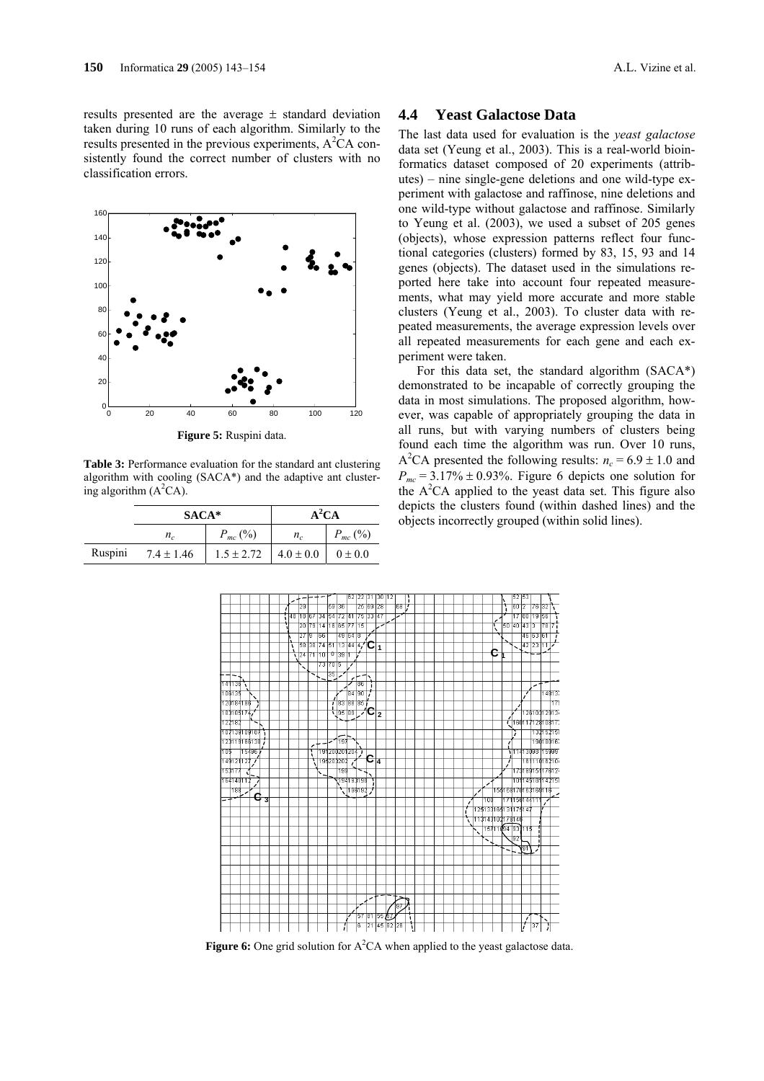results presented are the average  $\pm$  standard deviation taken during 10 runs of each algorithm. Similarly to the results presented in the previous experiments,  $A^2CA$  consistently found the correct number of clusters with no classification errors.



**Table 3:** Performance evaluation for the standard ant clustering algorithm with cooling (SACA\*) and the adaptive ant clustering algorithm  $(A<sup>2</sup>CA)$ .

|         | $SACA*$        |                | $A^2CA$       |              |
|---------|----------------|----------------|---------------|--------------|
|         | $n_c$          | $P_{mc}$ (%)   | $n_{c}$       | $P_{mc}$ (%) |
| Ruspini | $7.4 \pm 1.46$ | $1.5 \pm 2.72$ | $4.0 \pm 0.0$ | $0 \pm 0.0$  |

#### **4.4 Yeast Galactose Data**

The last data used for evaluation is the *yeast galactose* data set (Yeung et al., 2003). This is a real-world bioinformatics dataset composed of 20 experiments (attributes) – nine single-gene deletions and one wild-type experiment with galactose and raffinose, nine deletions and one wild-type without galactose and raffinose. Similarly to Yeung et al. (2003), we used a subset of 205 genes (objects), whose expression patterns reflect four functional categories (clusters) formed by 83, 15, 93 and 14 genes (objects). The dataset used in the simulations reported here take into account four repeated measurements, what may yield more accurate and more stable clusters (Yeung et al., 2003). To cluster data with repeated measurements, the average expression levels over all repeated measurements for each gene and each experiment were taken.

For this data set, the standard algorithm (SACA\*) demonstrated to be incapable of correctly grouping the data in most simulations. The proposed algorithm, however, was capable of appropriately grouping the data in all runs, but with varying numbers of clusters being found each time the algorithm was run. Over 10 runs, A<sup>2</sup>CA presented the following results:  $n_c = 6.9 \pm 1.0$  and  $P_{mc}$  = 3.17%  $\pm$  0.93%. Figure 6 depicts one solution for the  $A<sup>2</sup>CA$  applied to the yeast data set. This figure also depicts the clusters found (within dashed lines) and the objects incorrectly grouped (within solid lines).



**Figure 6:** One grid solution for  $A^2CA$  when applied to the yeast galactose data.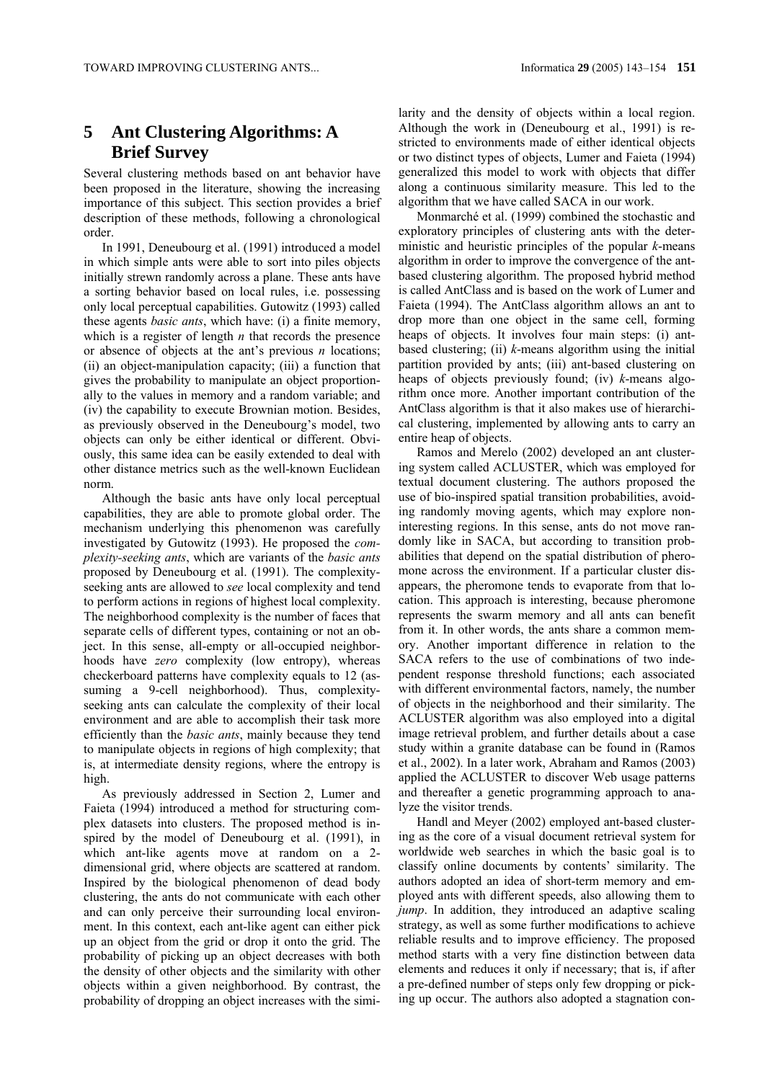## **5 Ant Clustering Algorithms: A Brief Survey**

Several clustering methods based on ant behavior have been proposed in the literature, showing the increasing importance of this subject. This section provides a brief description of these methods, following a chronological order.

In 1991, Deneubourg et al. (1991) introduced a model in which simple ants were able to sort into piles objects initially strewn randomly across a plane. These ants have a sorting behavior based on local rules, i.e. possessing only local perceptual capabilities. Gutowitz (1993) called these agents *basic ants*, which have: (i) a finite memory, which is a register of length *n* that records the presence or absence of objects at the ant's previous *n* locations; (ii) an object-manipulation capacity; (iii) a function that gives the probability to manipulate an object proportionally to the values in memory and a random variable; and (iv) the capability to execute Brownian motion. Besides, as previously observed in the Deneubourg's model, two objects can only be either identical or different. Obviously, this same idea can be easily extended to deal with other distance metrics such as the well-known Euclidean norm.

Although the basic ants have only local perceptual capabilities, they are able to promote global order. The mechanism underlying this phenomenon was carefully investigated by Gutowitz (1993). He proposed the *complexity-seeking ants*, which are variants of the *basic ants* proposed by Deneubourg et al. (1991). The complexityseeking ants are allowed to *see* local complexity and tend to perform actions in regions of highest local complexity. The neighborhood complexity is the number of faces that separate cells of different types, containing or not an object. In this sense, all-empty or all-occupied neighborhoods have *zero* complexity (low entropy), whereas checkerboard patterns have complexity equals to 12 (assuming a 9-cell neighborhood). Thus, complexityseeking ants can calculate the complexity of their local environment and are able to accomplish their task more efficiently than the *basic ants*, mainly because they tend to manipulate objects in regions of high complexity; that is, at intermediate density regions, where the entropy is high.

As previously addressed in Section 2, Lumer and Faieta (1994) introduced a method for structuring complex datasets into clusters. The proposed method is inspired by the model of Deneubourg et al. (1991), in which ant-like agents move at random on a 2dimensional grid, where objects are scattered at random. Inspired by the biological phenomenon of dead body clustering, the ants do not communicate with each other and can only perceive their surrounding local environment. In this context, each ant-like agent can either pick up an object from the grid or drop it onto the grid. The probability of picking up an object decreases with both the density of other objects and the similarity with other objects within a given neighborhood. By contrast, the probability of dropping an object increases with the similarity and the density of objects within a local region. Although the work in (Deneubourg et al., 1991) is restricted to environments made of either identical objects or two distinct types of objects, Lumer and Faieta (1994) generalized this model to work with objects that differ along a continuous similarity measure. This led to the algorithm that we have called SACA in our work.

Monmarché et al. (1999) combined the stochastic and exploratory principles of clustering ants with the deterministic and heuristic principles of the popular *k*-means algorithm in order to improve the convergence of the antbased clustering algorithm. The proposed hybrid method is called AntClass and is based on the work of Lumer and Faieta (1994). The AntClass algorithm allows an ant to drop more than one object in the same cell, forming heaps of objects. It involves four main steps: (i) antbased clustering; (ii) *k*-means algorithm using the initial partition provided by ants; (iii) ant-based clustering on heaps of objects previously found; (iv) *k*-means algorithm once more. Another important contribution of the AntClass algorithm is that it also makes use of hierarchical clustering, implemented by allowing ants to carry an entire heap of objects.

Ramos and Merelo (2002) developed an ant clustering system called ACLUSTER, which was employed for textual document clustering. The authors proposed the use of bio-inspired spatial transition probabilities, avoiding randomly moving agents, which may explore noninteresting regions. In this sense, ants do not move randomly like in SACA, but according to transition probabilities that depend on the spatial distribution of pheromone across the environment. If a particular cluster disappears, the pheromone tends to evaporate from that location. This approach is interesting, because pheromone represents the swarm memory and all ants can benefit from it. In other words, the ants share a common memory. Another important difference in relation to the SACA refers to the use of combinations of two independent response threshold functions; each associated with different environmental factors, namely, the number of objects in the neighborhood and their similarity. The ACLUSTER algorithm was also employed into a digital image retrieval problem, and further details about a case study within a granite database can be found in (Ramos et al., 2002). In a later work, Abraham and Ramos (2003) applied the ACLUSTER to discover Web usage patterns and thereafter a genetic programming approach to analyze the visitor trends.

Handl and Meyer (2002) employed ant-based clustering as the core of a visual document retrieval system for worldwide web searches in which the basic goal is to classify online documents by contents' similarity. The authors adopted an idea of short-term memory and employed ants with different speeds, also allowing them to *jump*. In addition, they introduced an adaptive scaling strategy, as well as some further modifications to achieve reliable results and to improve efficiency. The proposed method starts with a very fine distinction between data elements and reduces it only if necessary; that is, if after a pre-defined number of steps only few dropping or picking up occur. The authors also adopted a stagnation con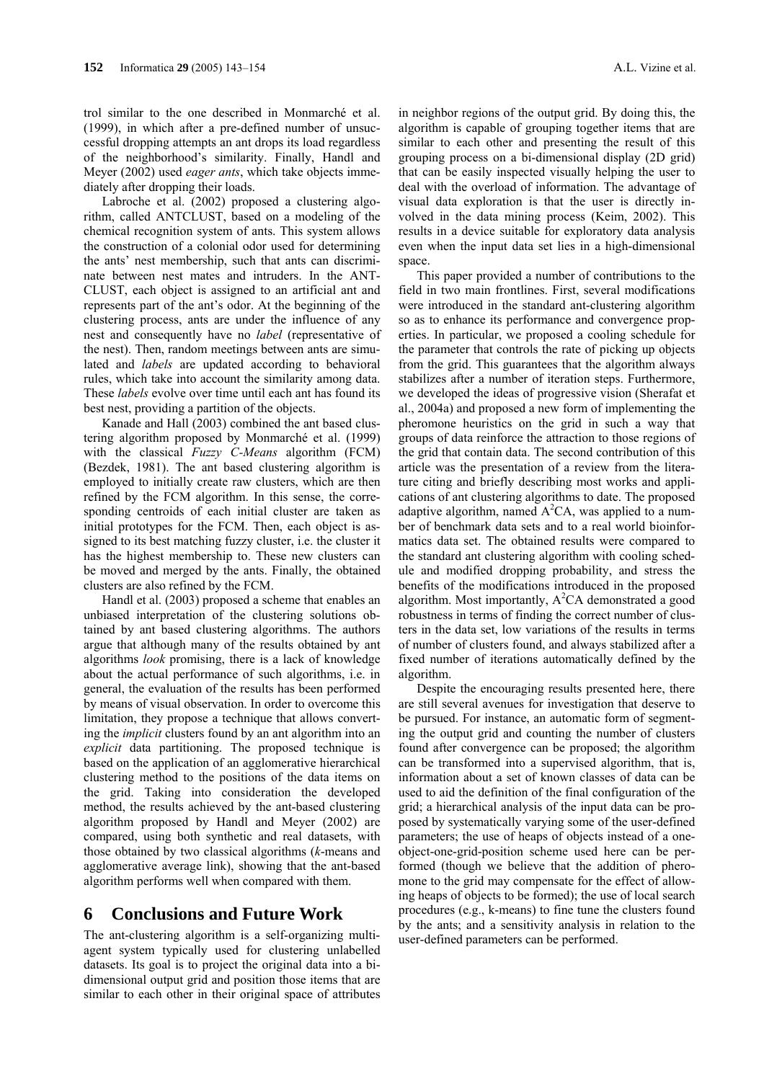trol similar to the one described in Monmarché et al. (1999), in which after a pre-defined number of unsuccessful dropping attempts an ant drops its load regardless of the neighborhood's similarity. Finally, Handl and Meyer (2002) used *eager ants*, which take objects immediately after dropping their loads.

Labroche et al. (2002) proposed a clustering algorithm, called ANTCLUST, based on a modeling of the chemical recognition system of ants. This system allows the construction of a colonial odor used for determining the ants' nest membership, such that ants can discriminate between nest mates and intruders. In the ANT-CLUST, each object is assigned to an artificial ant and represents part of the ant's odor. At the beginning of the clustering process, ants are under the influence of any nest and consequently have no *label* (representative of the nest). Then, random meetings between ants are simulated and *labels* are updated according to behavioral rules, which take into account the similarity among data. These *labels* evolve over time until each ant has found its best nest, providing a partition of the objects.

Kanade and Hall (2003) combined the ant based clustering algorithm proposed by Monmarché et al. (1999) with the classical *Fuzzy C-Means* algorithm (FCM) (Bezdek, 1981). The ant based clustering algorithm is employed to initially create raw clusters, which are then refined by the FCM algorithm. In this sense, the corresponding centroids of each initial cluster are taken as initial prototypes for the FCM. Then, each object is assigned to its best matching fuzzy cluster, i.e. the cluster it has the highest membership to. These new clusters can be moved and merged by the ants. Finally, the obtained clusters are also refined by the FCM.

Handl et al. (2003) proposed a scheme that enables an unbiased interpretation of the clustering solutions obtained by ant based clustering algorithms. The authors argue that although many of the results obtained by ant algorithms *look* promising, there is a lack of knowledge about the actual performance of such algorithms, i.e. in general, the evaluation of the results has been performed by means of visual observation. In order to overcome this limitation, they propose a technique that allows converting the *implicit* clusters found by an ant algorithm into an *explicit* data partitioning. The proposed technique is based on the application of an agglomerative hierarchical clustering method to the positions of the data items on the grid. Taking into consideration the developed method, the results achieved by the ant-based clustering algorithm proposed by Handl and Meyer (2002) are compared, using both synthetic and real datasets, with those obtained by two classical algorithms (*k*-means and agglomerative average link), showing that the ant-based algorithm performs well when compared with them.

### **6 Conclusions and Future Work**

The ant-clustering algorithm is a self-organizing multiagent system typically used for clustering unlabelled datasets. Its goal is to project the original data into a bidimensional output grid and position those items that are similar to each other in their original space of attributes in neighbor regions of the output grid. By doing this, the algorithm is capable of grouping together items that are similar to each other and presenting the result of this grouping process on a bi-dimensional display (2D grid) that can be easily inspected visually helping the user to deal with the overload of information. The advantage of visual data exploration is that the user is directly involved in the data mining process (Keim, 2002). This results in a device suitable for exploratory data analysis even when the input data set lies in a high-dimensional space

This paper provided a number of contributions to the field in two main frontlines. First, several modifications were introduced in the standard ant-clustering algorithm so as to enhance its performance and convergence properties. In particular, we proposed a cooling schedule for the parameter that controls the rate of picking up objects from the grid. This guarantees that the algorithm always stabilizes after a number of iteration steps. Furthermore, we developed the ideas of progressive vision (Sherafat et al., 2004a) and proposed a new form of implementing the pheromone heuristics on the grid in such a way that groups of data reinforce the attraction to those regions of the grid that contain data. The second contribution of this article was the presentation of a review from the literature citing and briefly describing most works and applications of ant clustering algorithms to date. The proposed adaptive algorithm, named  $A<sup>2</sup>CA$ , was applied to a number of benchmark data sets and to a real world bioinformatics data set. The obtained results were compared to the standard ant clustering algorithm with cooling schedule and modified dropping probability, and stress the benefits of the modifications introduced in the proposed algorithm. Most importantly,  $A^2CA$  demonstrated a good robustness in terms of finding the correct number of clusters in the data set, low variations of the results in terms of number of clusters found, and always stabilized after a fixed number of iterations automatically defined by the algorithm.

Despite the encouraging results presented here, there are still several avenues for investigation that deserve to be pursued. For instance, an automatic form of segmenting the output grid and counting the number of clusters found after convergence can be proposed; the algorithm can be transformed into a supervised algorithm, that is, information about a set of known classes of data can be used to aid the definition of the final configuration of the grid; a hierarchical analysis of the input data can be proposed by systematically varying some of the user-defined parameters; the use of heaps of objects instead of a oneobject-one-grid-position scheme used here can be performed (though we believe that the addition of pheromone to the grid may compensate for the effect of allowing heaps of objects to be formed); the use of local search procedures (e.g., k-means) to fine tune the clusters found by the ants; and a sensitivity analysis in relation to the user-defined parameters can be performed.